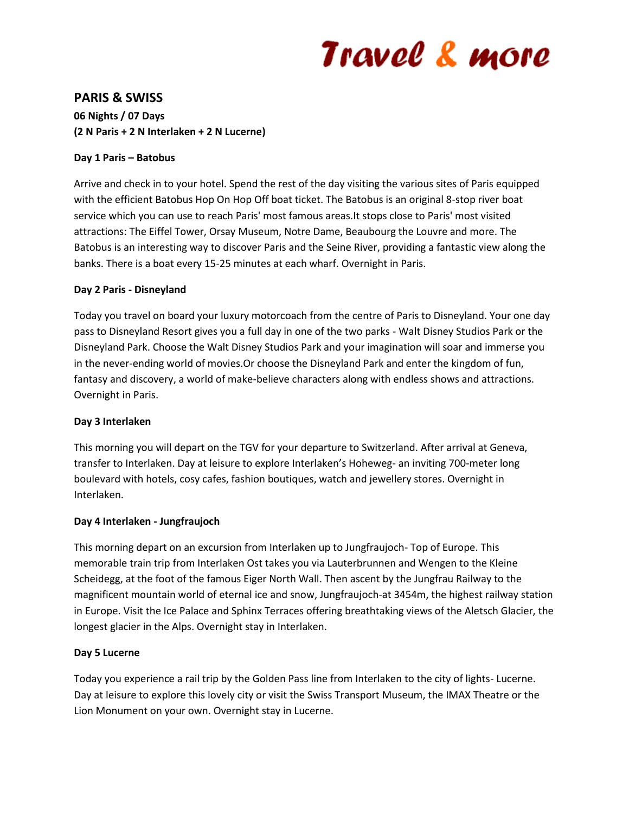# Travel & more

# **PARIS & SWISS**

**06 Nights / 07 Days (2 N Paris + 2 N Interlaken + 2 N Lucerne)**

## **Day 1 Paris – Batobus**

Arrive and check in to your hotel. Spend the rest of the day visiting the various sites of Paris equipped with the efficient Batobus Hop On Hop Off boat ticket. The Batobus is an original 8-stop river boat service which you can use to reach Paris' most famous areas.It stops close to Paris' most visited attractions: The Eiffel Tower, Orsay Museum, Notre Dame, Beaubourg the Louvre and more. The Batobus is an interesting way to discover Paris and the Seine River, providing a fantastic view along the banks. There is a boat every 15-25 minutes at each wharf. Overnight in Paris.

## **Day 2 Paris - Disneyland**

Today you travel on board your luxury motorcoach from the centre of Paris to Disneyland. Your one day pass to Disneyland Resort gives you a full day in one of the two parks - Walt Disney Studios Park or the Disneyland Park. Choose the Walt Disney Studios Park and your imagination will soar and immerse you in the never-ending world of movies.Or choose the Disneyland Park and enter the kingdom of fun, fantasy and discovery, a world of make-believe characters along with endless shows and attractions. Overnight in Paris.

#### **Day 3 Interlaken**

This morning you will depart on the TGV for your departure to Switzerland. After arrival at Geneva, transfer to Interlaken. Day at leisure to explore Interlaken's Hoheweg- an inviting 700-meter long boulevard with hotels, cosy cafes, fashion boutiques, watch and jewellery stores. Overnight in Interlaken.

# **Day 4 Interlaken - Jungfraujoch**

This morning depart on an excursion from Interlaken up to Jungfraujoch- Top of Europe. This memorable train trip from Interlaken Ost takes you via Lauterbrunnen and Wengen to the Kleine Scheidegg, at the foot of the famous Eiger North Wall. Then ascent by the Jungfrau Railway to the magnificent mountain world of eternal ice and snow, Jungfraujoch-at 3454m, the highest railway station in Europe. Visit the Ice Palace and Sphinx Terraces offering breathtaking views of the Aletsch Glacier, the longest glacier in the Alps. Overnight stay in Interlaken.

#### **Day 5 Lucerne**

Today you experience a rail trip by the Golden Pass line from Interlaken to the city of lights- Lucerne. Day at leisure to explore this lovely city or visit the Swiss Transport Museum, the IMAX Theatre or the Lion Monument on your own. Overnight stay in Lucerne.